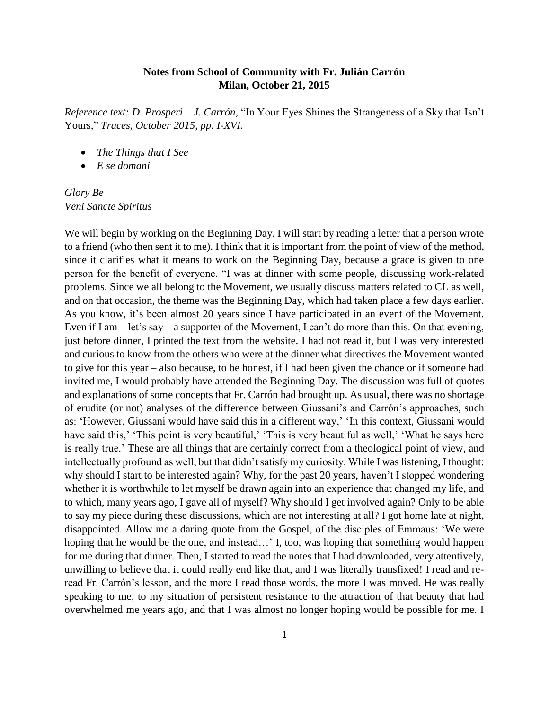## **Notes from School of Community with Fr. Julián Carrón Milan, October 21, 2015**

*Reference text: D. Prosperi – J. Carrón,* "In Your Eyes Shines the Strangeness of a Sky that Isn't Yours*,*" *Traces, October 2015, pp. I-XVI.*

- *The Things that I See*
- *E se domani*

*Glory Be Veni Sancte Spiritus*

We will begin by working on the Beginning Day. I will start by reading a letter that a person wrote to a friend (who then sent it to me). I think that it is important from the point of view of the method, since it clarifies what it means to work on the Beginning Day, because a grace is given to one person for the benefit of everyone. "I was at dinner with some people, discussing work-related problems. Since we all belong to the Movement, we usually discuss matters related to CL as well, and on that occasion, the theme was the Beginning Day, which had taken place a few days earlier. As you know, it's been almost 20 years since I have participated in an event of the Movement. Even if I am  $-$  let's say  $-$  a supporter of the Movement, I can't do more than this. On that evening, just before dinner, I printed the text from the website. I had not read it, but I was very interested and curious to know from the others who were at the dinner what directives the Movement wanted to give for this year – also because, to be honest, if I had been given the chance or if someone had invited me, I would probably have attended the Beginning Day. The discussion was full of quotes and explanations of some concepts that Fr. Carrón had brought up. As usual, there was no shortage of erudite (or not) analyses of the difference between Giussani's and Carrón's approaches, such as: 'However, Giussani would have said this in a different way,' 'In this context, Giussani would have said this,' 'This point is very beautiful,' 'This is very beautiful as well,' 'What he says here is really true.' These are all things that are certainly correct from a theological point of view, and intellectually profound as well, but that didn't satisfy my curiosity. While I was listening, I thought: why should I start to be interested again? Why, for the past 20 years, haven't I stopped wondering whether it is worthwhile to let myself be drawn again into an experience that changed my life, and to which, many years ago, I gave all of myself? Why should I get involved again? Only to be able to say my piece during these discussions, which are not interesting at all? I got home late at night, disappointed. Allow me a daring quote from the Gospel, of the disciples of Emmaus: 'We were hoping that he would be the one, and instead…' I, too, was hoping that something would happen for me during that dinner. Then, I started to read the notes that I had downloaded, very attentively, unwilling to believe that it could really end like that, and I was literally transfixed! I read and reread Fr. Carrón's lesson, and the more I read those words, the more I was moved. He was really speaking to me, to my situation of persistent resistance to the attraction of that beauty that had overwhelmed me years ago, and that I was almost no longer hoping would be possible for me. I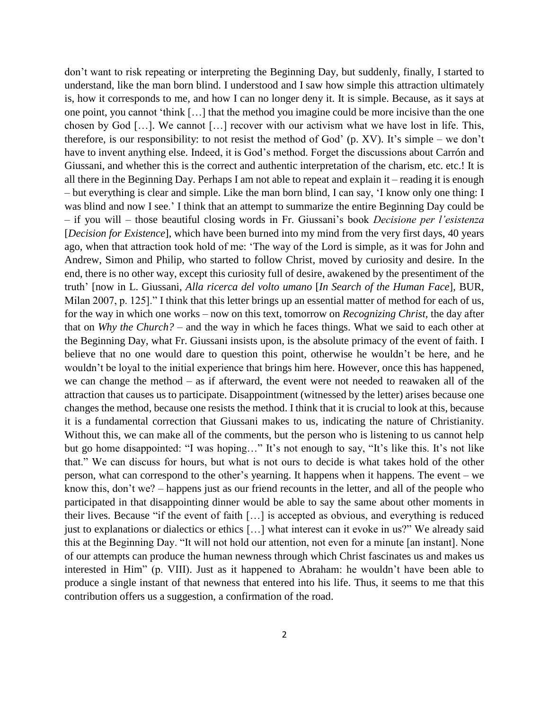don't want to risk repeating or interpreting the Beginning Day, but suddenly, finally, I started to understand, like the man born blind. I understood and I saw how simple this attraction ultimately is, how it corresponds to me, and how I can no longer deny it. It is simple. Because, as it says at one point, you cannot 'think […] that the method you imagine could be more incisive than the one chosen by God […]. We cannot […] recover with our activism what we have lost in life. This, therefore, is our responsibility: to not resist the method of God' (p. XV). It's simple – we don't have to invent anything else. Indeed, it is God's method. Forget the discussions about Carrón and Giussani, and whether this is the correct and authentic interpretation of the charism, etc. etc.! It is all there in the Beginning Day. Perhaps I am not able to repeat and explain it – reading it is enough – but everything is clear and simple. Like the man born blind, I can say, 'I know only one thing: I was blind and now I see.' I think that an attempt to summarize the entire Beginning Day could be – if you will – those beautiful closing words in Fr. Giussani's book *Decisione per l'esistenza*  [*Decision for Existence*], which have been burned into my mind from the very first days, 40 years ago, when that attraction took hold of me: 'The way of the Lord is simple, as it was for John and Andrew, Simon and Philip, who started to follow Christ, moved by curiosity and desire. In the end, there is no other way, except this curiosity full of desire, awakened by the presentiment of the truth' [now in L. Giussani, *Alla ricerca del volto umano* [*In Search of the Human Face*], BUR, Milan 2007, p. 125]." I think that this letter brings up an essential matter of method for each of us, for the way in which one works – now on this text, tomorrow on *Recognizing Christ,* the day after that on *Why the Church?* – and the way in which he faces things. What we said to each other at the Beginning Day, what Fr. Giussani insists upon, is the absolute primacy of the event of faith. I believe that no one would dare to question this point, otherwise he wouldn't be here, and he wouldn't be loyal to the initial experience that brings him here. However, once this has happened, we can change the method – as if afterward, the event were not needed to reawaken all of the attraction that causes us to participate. Disappointment (witnessed by the letter) arises because one changes the method, because one resists the method. I think that it is crucial to look at this, because it is a fundamental correction that Giussani makes to us, indicating the nature of Christianity. Without this, we can make all of the comments, but the person who is listening to us cannot help but go home disappointed: "I was hoping…" It's not enough to say, "It's like this. It's not like that." We can discuss for hours, but what is not ours to decide is what takes hold of the other person, what can correspond to the other's yearning. It happens when it happens. The event – we know this, don't we? – happens just as our friend recounts in the letter, and all of the people who participated in that disappointing dinner would be able to say the same about other moments in their lives. Because "if the event of faith […] is accepted as obvious, and everything is reduced just to explanations or dialectics or ethics […] what interest can it evoke in us?" We already said this at the Beginning Day. "It will not hold our attention, not even for a minute [an instant]. None of our attempts can produce the human newness through which Christ fascinates us and makes us interested in Him" (p. VIII). Just as it happened to Abraham: he wouldn't have been able to produce a single instant of that newness that entered into his life. Thus, it seems to me that this contribution offers us a suggestion, a confirmation of the road.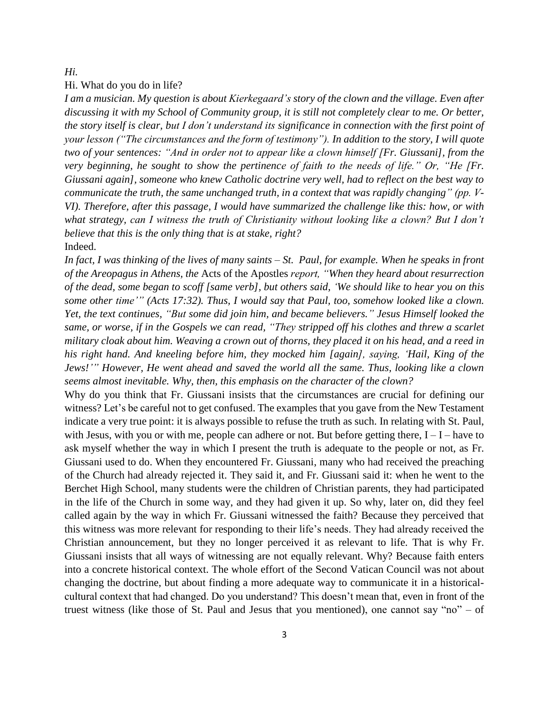## *Hi.*

Hi. What do you do in life?

*I am a musician. My question is about Kierkegaard's story of the clown and the village. Even after discussing it with my School of Community group, it is still not completely clear to me. Or better, the story itself is clear, but I don't understand its significance in connection with the first point of your lesson ("The circumstances and the form of testimony"). In addition to the story, I will quote two of your sentences: "And in order not to appear like a clown himself [Fr. Giussani], from the very beginning, he sought to show the pertinence of faith to the needs of life." Or, "He [Fr. Giussani again], someone who knew Catholic doctrine very well, had to reflect on the best way to communicate the truth, the same unchanged truth, in a context that was rapidly changing" (pp. V-VI). Therefore, after this passage, I would have summarized the challenge like this: how, or with what strategy, can I witness the truth of Christianity without looking like a clown? But I don't believe that this is the only thing that is at stake, right?* Indeed.

*In fact, I was thinking of the lives of many saints – St. Paul, for example. When he speaks in front of the Areopagus in Athens, the* Acts of the Apostles *report, "When they heard about resurrection* of the dead, some began to scoff [same verb], but others said, 'We should like to hear you on this *some other time'" (Acts 17:32). Thus, I would say that Paul, too, somehow looked like a clown. Yet, the text continues, "But some did join him, and became believers." Jesus Himself looked the* same, or worse, if in the Gospels we can read, "They stripped off his clothes and threw a scarlet *military cloak about him. Weaving a crown out of thorns, they placed it on his head, and a reed in his right hand. And kneeling before him, they mocked him [again], saying, 'Hail, King of the Jews!'" However, He went ahead and saved the world all the same. Thus, looking like a clown seems almost inevitable. Why, then, this emphasis on the character of the clown?*

Why do you think that Fr. Giussani insists that the circumstances are crucial for defining our witness? Let's be careful not to get confused. The examples that you gave from the New Testament indicate a very true point: it is always possible to refuse the truth as such. In relating with St. Paul, with Jesus, with you or with me, people can adhere or not. But before getting there,  $I - I -$  have to ask myself whether the way in which I present the truth is adequate to the people or not, as Fr. Giussani used to do. When they encountered Fr. Giussani, many who had received the preaching of the Church had already rejected it. They said it, and Fr. Giussani said it: when he went to the Berchet High School, many students were the children of Christian parents, they had participated in the life of the Church in some way, and they had given it up. So why, later on, did they feel called again by the way in which Fr. Giussani witnessed the faith? Because they perceived that this witness was more relevant for responding to their life's needs. They had already received the Christian announcement, but they no longer perceived it as relevant to life. That is why Fr. Giussani insists that all ways of witnessing are not equally relevant. Why? Because faith enters into a concrete historical context. The whole effort of the Second Vatican Council was not about changing the doctrine, but about finding a more adequate way to communicate it in a historicalcultural context that had changed. Do you understand? This doesn't mean that, even in front of the truest witness (like those of St. Paul and Jesus that you mentioned), one cannot say "no" – of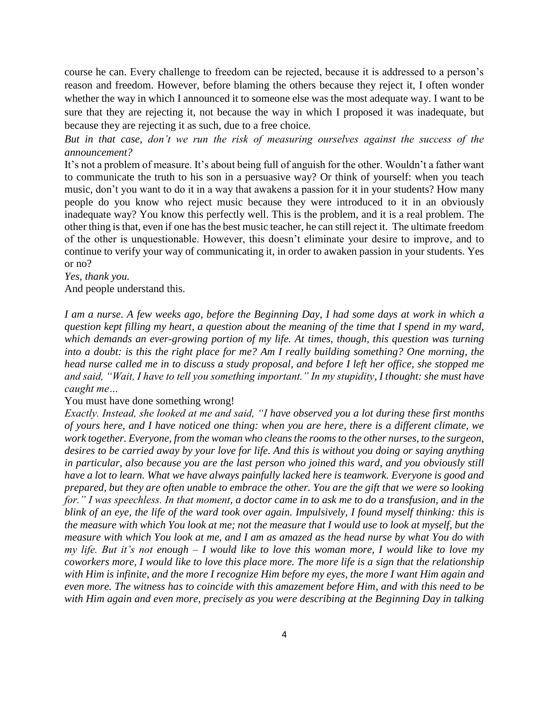course he can. Every challenge to freedom can be rejected, because it is addressed to a person's reason and freedom. However, before blaming the others because they reject it, I often wonder whether the way in which I announced it to someone else was the most adequate way. I want to be sure that they are rejecting it, not because the way in which I proposed it was inadequate, but because they are rejecting it as such, due to a free choice.

*But in that case, don't we run the risk of measuring ourselves against the success of the announcement?*

It's not a problem of measure. It's about being full of anguish for the other. Wouldn't a father want to communicate the truth to his son in a persuasive way? Or think of yourself: when you teach music, don't you want to do it in a way that awakens a passion for it in your students? How many people do you know who reject music because they were introduced to it in an obviously inadequate way? You know this perfectly well. This is the problem, and it is a real problem. The other thing is that, even if one has the best music teacher, he can still reject it. The ultimate freedom of the other is unquestionable. However, this doesn't eliminate your desire to improve, and to continue to verify your way of communicating it, in order to awaken passion in your students. Yes or no?

*Yes, thank you.*

And people understand this.

*I am a nurse. A few weeks ago, before the Beginning Day, I had some days at work in which a question kept filling my heart, a question about the meaning of the time that I spend in my ward, which demands an ever-growing portion of my life. At times, though, this question was turning into a doubt: is this the right place for me? Am I really building something? One morning, the head nurse called me in to discuss a study proposal, and before I left her office, she stopped me and said, "Wait, I have to tell you something important." In my stupidity, I thought: she must have caught me…*

You must have done something wrong!

*Exactly. Instead, she looked at me and said, "I have observed you a lot during these first months of yours here, and I have noticed one thing: when you are here, there is a different climate, we work together. Everyone, from the woman who cleans the rooms to the other nurses, to the surgeon, desires to be carried away by your love for life. And this is without you doing or saying anything in particular, also because you are the last person who joined this ward, and you obviously still have a lot to learn. What we have always painfully lacked here is teamwork. Everyone is good and prepared, but they are often unable to embrace the other. You are the gift that we were so looking for." I was speechless. In that moment, a doctor came in to ask me to do a transfusion, and in the blink of an eye, the life of the ward took over again. Impulsively, I found myself thinking: this is the measure with which You look at me; not the measure that I would use to look at myself, but the measure with which You look at me, and I am as amazed as the head nurse by what You do with my life. But it's not enough – I would like to love this woman more, I would like to love my coworkers more, I would like to love this place more. The more life is a sign that the relationship with Him is infinite, and the more I recognize Him before my eyes, the more I want Him again and even more. The witness has to coincide with this amazement before Him, and with this need to be with Him again and even more, precisely as you were describing at the Beginning Day in talking*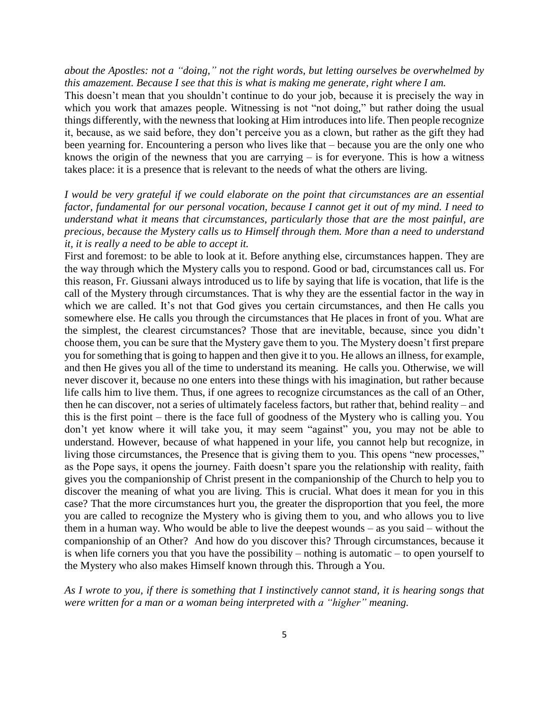*about the Apostles: not a "doing," not the right words, but letting ourselves be overwhelmed by this amazement. Because I see that this is what is making me generate, right where I am.*

This doesn't mean that you shouldn't continue to do your job, because it is precisely the way in which you work that amazes people. Witnessing is not "not doing," but rather doing the usual things differently, with the newness that looking at Him introduces into life. Then people recognize it, because, as we said before, they don't perceive you as a clown, but rather as the gift they had been yearning for. Encountering a person who lives like that – because you are the only one who knows the origin of the newness that you are carrying  $-$  is for everyone. This is how a witness takes place: it is a presence that is relevant to the needs of what the others are living.

*I would be very grateful if we could elaborate on the point that circumstances are an essential factor, fundamental for our personal vocation, because I cannot get it out of my mind. I need to understand what it means that circumstances, particularly those that are the most painful, are precious, because the Mystery calls us to Himself through them. More than a need to understand it, it is really a need to be able to accept it.*

First and foremost: to be able to look at it. Before anything else, circumstances happen. They are the way through which the Mystery calls you to respond. Good or bad, circumstances call us. For this reason, Fr. Giussani always introduced us to life by saying that life is vocation, that life is the call of the Mystery through circumstances. That is why they are the essential factor in the way in which we are called. It's not that God gives you certain circumstances, and then He calls you somewhere else. He calls you through the circumstances that He places in front of you. What are the simplest, the clearest circumstances? Those that are inevitable, because, since you didn't choose them, you can be sure that the Mystery gave them to you. The Mystery doesn't first prepare you for something that is going to happen and then give it to you. He allows an illness, for example, and then He gives you all of the time to understand its meaning. He calls you. Otherwise, we will never discover it, because no one enters into these things with his imagination, but rather because life calls him to live them. Thus, if one agrees to recognize circumstances as the call of an Other, then he can discover, not a series of ultimately faceless factors, but rather that, behind reality – and this is the first point – there is the face full of goodness of the Mystery who is calling you. You don't yet know where it will take you, it may seem "against" you, you may not be able to understand. However, because of what happened in your life, you cannot help but recognize, in living those circumstances, the Presence that is giving them to you. This opens "new processes," as the Pope says, it opens the journey. Faith doesn't spare you the relationship with reality, faith gives you the companionship of Christ present in the companionship of the Church to help you to discover the meaning of what you are living. This is crucial. What does it mean for you in this case? That the more circumstances hurt you, the greater the disproportion that you feel, the more you are called to recognize the Mystery who is giving them to you, and who allows you to live them in a human way. Who would be able to live the deepest wounds – as you said – without the companionship of an Other? And how do you discover this? Through circumstances, because it is when life corners you that you have the possibility – nothing is automatic – to open yourself to the Mystery who also makes Himself known through this. Through a You.

*As I wrote to you, if there is something that I instinctively cannot stand, it is hearing songs that were written for a man or a woman being interpreted with a "higher" meaning.*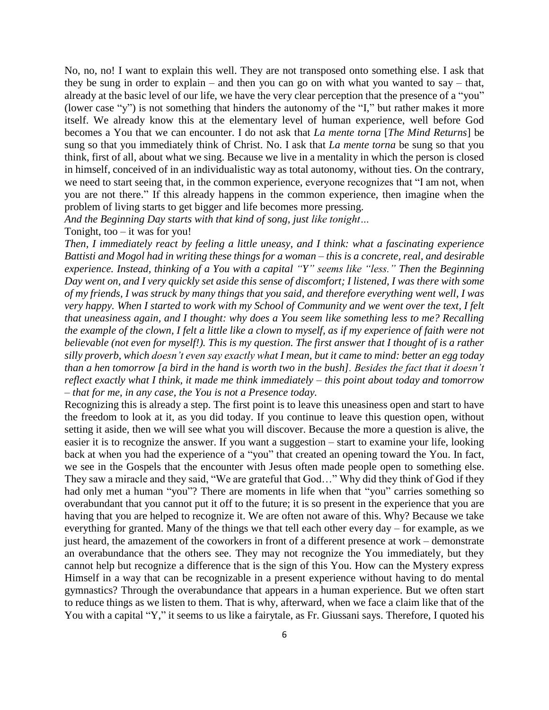No, no, no! I want to explain this well. They are not transposed onto something else. I ask that they be sung in order to explain – and then you can go on with what you wanted to say – that, already at the basic level of our life, we have the very clear perception that the presence of a "you" (lower case "y") is not something that hinders the autonomy of the "I," but rather makes it more itself. We already know this at the elementary level of human experience, well before God becomes a You that we can encounter. I do not ask that *La mente torna* [*The Mind Returns*] be sung so that you immediately think of Christ. No. I ask that *La mente torna* be sung so that you think, first of all, about what we sing. Because we live in a mentality in which the person is closed in himself, conceived of in an individualistic way as total autonomy, without ties. On the contrary, we need to start seeing that, in the common experience, everyone recognizes that "I am not, when you are not there." If this already happens in the common experience, then imagine when the problem of living starts to get bigger and life becomes more pressing.

*And the Beginning Day starts with that kind of song, just like tonight…*

Tonight, too – it was for you!

*Then, I immediately react by feeling a little uneasy, and I think: what a fascinating experience Battisti and Mogol had in writing these things for a woman – this is a concrete, real, and desirable experience. Instead, thinking of a You with a capital "Y" seems like "less." Then the Beginning Day went on, and I very quickly set aside this sense of discomfort; I listened, I was there with some of my friends, I was struck by many things that you said, and therefore everything went well, I was very happy. When I started to work with my School of Community and we went over the text, I felt that uneasiness again, and I thought: why does a You seem like something less to me? Recalling the example of the clown, I felt a little like a clown to myself, as if my experience of faith were not believable (not even for myself!). This is my question. The first answer that I thought of is a rather silly proverb, which doesn't even say exactly what I mean, but it came to mind: better an egg today than a hen tomorrow [a bird in the hand is worth two in the bush]. Besides the fact that it doesn't reflect exactly what I think, it made me think immediately – this point about today and tomorrow – that for me, in any case, the You is not a Presence today.*

Recognizing this is already a step. The first point is to leave this uneasiness open and start to have the freedom to look at it, as you did today. If you continue to leave this question open, without setting it aside, then we will see what you will discover. Because the more a question is alive, the easier it is to recognize the answer. If you want a suggestion – start to examine your life, looking back at when you had the experience of a "you" that created an opening toward the You. In fact, we see in the Gospels that the encounter with Jesus often made people open to something else. They saw a miracle and they said, "We are grateful that God…" Why did they think of God if they had only met a human "you"? There are moments in life when that "you" carries something so overabundant that you cannot put it off to the future; it is so present in the experience that you are having that you are helped to recognize it. We are often not aware of this. Why? Because we take everything for granted. Many of the things we that tell each other every day – for example, as we just heard, the amazement of the coworkers in front of a different presence at work – demonstrate an overabundance that the others see. They may not recognize the You immediately, but they cannot help but recognize a difference that is the sign of this You. How can the Mystery express Himself in a way that can be recognizable in a present experience without having to do mental gymnastics? Through the overabundance that appears in a human experience. But we often start to reduce things as we listen to them. That is why, afterward, when we face a claim like that of the You with a capital "Y," it seems to us like a fairytale, as Fr. Giussani says. Therefore, I quoted his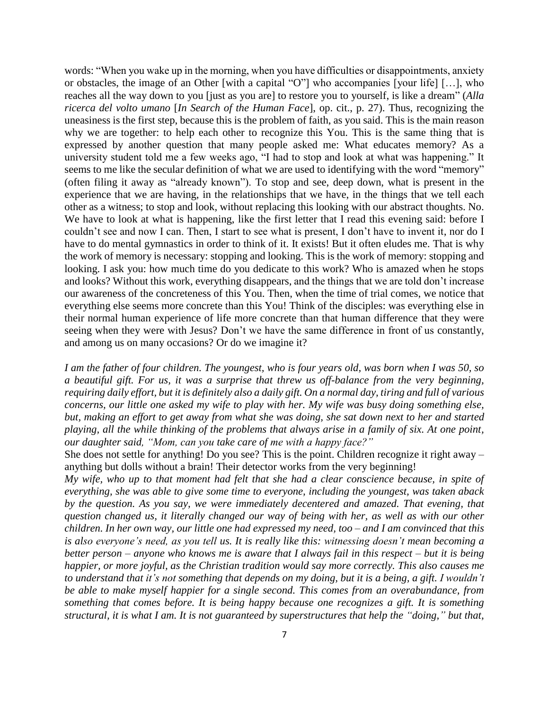words: "When you wake up in the morning, when you have difficulties or disappointments, anxiety or obstacles, the image of an Other [with a capital "O"] who accompanies [your life] […], who reaches all the way down to you [just as you are] to restore you to yourself, is like a dream" (*Alla ricerca del volto umano* [*In Search of the Human Face*], op. cit., p. 27). Thus, recognizing the uneasiness is the first step, because this is the problem of faith, as you said. This is the main reason why we are together: to help each other to recognize this You. This is the same thing that is expressed by another question that many people asked me: What educates memory? As a university student told me a few weeks ago, "I had to stop and look at what was happening." It seems to me like the secular definition of what we are used to identifying with the word "memory" (often filing it away as "already known"). To stop and see, deep down, what is present in the experience that we are having, in the relationships that we have, in the things that we tell each other as a witness; to stop and look, without replacing this looking with our abstract thoughts. No. We have to look at what is happening, like the first letter that I read this evening said: before I couldn't see and now I can. Then, I start to see what is present, I don't have to invent it, nor do I have to do mental gymnastics in order to think of it. It exists! But it often eludes me. That is why the work of memory is necessary: stopping and looking. This is the work of memory: stopping and looking. I ask you: how much time do you dedicate to this work? Who is amazed when he stops and looks? Without this work, everything disappears, and the things that we are told don't increase our awareness of the concreteness of this You. Then, when the time of trial comes, we notice that everything else seems more concrete than this You! Think of the disciples: was everything else in their normal human experience of life more concrete than that human difference that they were seeing when they were with Jesus? Don't we have the same difference in front of us constantly, and among us on many occasions? Or do we imagine it?

*I am the father of four children. The youngest, who is four years old, was born when I was 50, so a beautiful gift. For us, it was a surprise that threw us off-balance from the very beginning, requiring daily effort, but it is definitely also a daily gift. On a normal day, tiring and full of various concerns, our little one asked my wife to play with her. My wife was busy doing something else, but, making an effort to get away from what she was doing, she sat down next to her and started playing, all the while thinking of the problems that always arise in a family of six. At one point, our daughter said, "Mom, can you take care of me with a happy face?"*

She does not settle for anything! Do you see? This is the point. Children recognize it right away – anything but dolls without a brain! Their detector works from the very beginning!

*My wife, who up to that moment had felt that she had a clear conscience because, in spite of everything, she was able to give some time to everyone, including the youngest, was taken aback by the question. As you say, we were immediately decentered and amazed. That evening, that question changed us, it literally changed our way of being with her, as well as with our other children. In her own way, our little one had expressed my need, too – and I am convinced that this is also everyone's need, as you tell us. It is really like this: witnessing doesn't mean becoming a better person – anyone who knows me is aware that I always fail in this respect – but it is being happier, or more joyful, as the Christian tradition would say more correctly. This also causes me to understand that it's not something that depends on my doing, but it is a being, a gift. I wouldn't be able to make myself happier for a single second. This comes from an overabundance, from something that comes before. It is being happy because one recognizes a gift. It is something structural, it is what I am. It is not guaranteed by superstructures that help the "doing," but that,*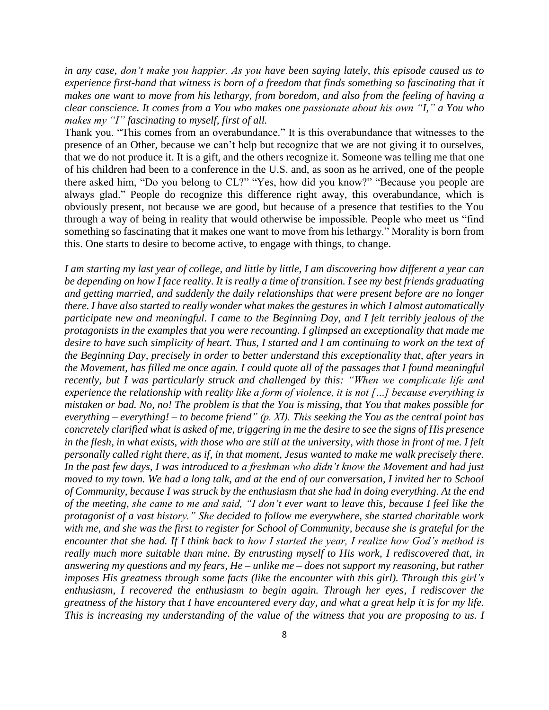*in any case, don't make you happier. As you have been saying lately, this episode caused us to experience first-hand that witness is born of a freedom that finds something so fascinating that it makes one want to move from his lethargy, from boredom, and also from the feeling of having a clear conscience. It comes from a You who makes one passionate about his own "I," a You who makes my "I" fascinating to myself, first of all.*

Thank you. "This comes from an overabundance." It is this overabundance that witnesses to the presence of an Other, because we can't help but recognize that we are not giving it to ourselves, that we do not produce it. It is a gift, and the others recognize it. Someone was telling me that one of his children had been to a conference in the U.S. and, as soon as he arrived, one of the people there asked him, "Do you belong to CL?" "Yes, how did you know?" "Because you people are always glad." People do recognize this difference right away, this overabundance, which is obviously present, not because we are good, but because of a presence that testifies to the You through a way of being in reality that would otherwise be impossible. People who meet us "find something so fascinating that it makes one want to move from his lethargy." Morality is born from this. One starts to desire to become active, to engage with things, to change.

*I am starting my last year of college, and little by little, I am discovering how different a year can be depending on how I face reality. It is really a time of transition. I see my best friends graduating and getting married, and suddenly the daily relationships that were present before are no longer there. I have also started to really wonder what makes the gestures in which I almost automatically participate new and meaningful. I came to the Beginning Day, and I felt terribly jealous of the protagonists in the examples that you were recounting. I glimpsed an exceptionality that made me desire to have such simplicity of heart. Thus, I started and I am continuing to work on the text of the Beginning Day, precisely in order to better understand this exceptionality that, after years in the Movement, has filled me once again. I could quote all of the passages that I found meaningful recently, but I was particularly struck and challenged by this: "When we complicate life and experience the relationship with reality like a form of violence, it is not […] because everything is mistaken or bad. No, no! The problem is that the You is missing, that You that makes possible for everything – everything! – to become friend" (p. XI). This seeking the You as the central point has concretely clarified what is asked of me, triggering in me the desire to see the signs of His presence in the flesh, in what exists, with those who are still at the university, with those in front of me. I felt personally called right there, as if, in that moment, Jesus wanted to make me walk precisely there. In the past few days, I was introduced to a freshman who didn't know the Movement and had just moved to my town. We had a long talk, and at the end of our conversation, I invited her to School of Community, because I was struck by the enthusiasm that she had in doing everything. At the end of the meeting, she came to me and said, "I don't ever want to leave this, because I feel like the protagonist of a vast history." She decided to follow me everywhere, she started charitable work with me, and she was the first to register for School of Community, because she is grateful for the encounter that she had. If I think back to how I started the year, I realize how God's method is really much more suitable than mine. By entrusting myself to His work, I rediscovered that, in answering my questions and my fears, He – unlike me – does not support my reasoning, but rather imposes His greatness through some facts (like the encounter with this girl). Through this girl's enthusiasm, I recovered the enthusiasm to begin again. Through her eyes, I rediscover the greatness of the history that I have encountered every day, and what a great help it is for my life. This is increasing my understanding of the value of the witness that you are proposing to us. I*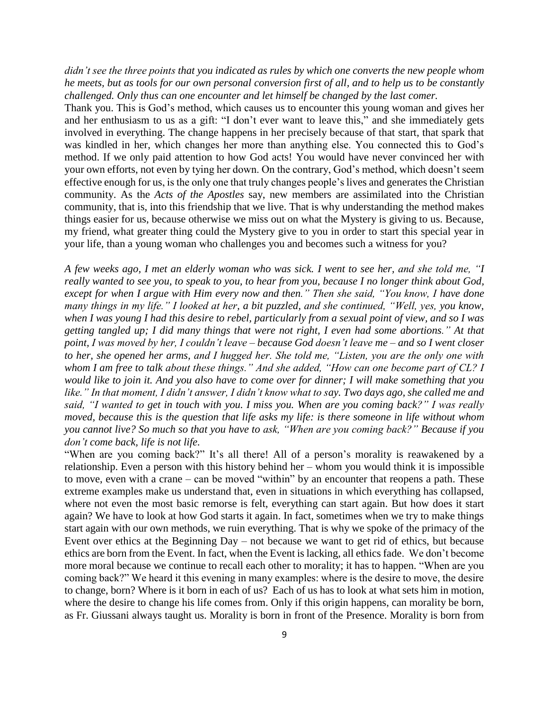*didn't see the three points that you indicated as rules by which one converts the new people whom he meets, but as tools for our own personal conversion first of all, and to help us to be constantly challenged. Only thus can one encounter and let himself be changed by the last comer.*

Thank you. This is God's method, which causes us to encounter this young woman and gives her and her enthusiasm to us as a gift: "I don't ever want to leave this," and she immediately gets involved in everything. The change happens in her precisely because of that start, that spark that was kindled in her, which changes her more than anything else. You connected this to God's method. If we only paid attention to how God acts! You would have never convinced her with your own efforts, not even by tying her down. On the contrary, God's method, which doesn't seem effective enough for us, is the only one that truly changes people's lives and generates the Christian community. As the *Acts of the Apostles* say, new members are assimilated into the Christian community, that is, into this friendship that we live. That is why understanding the method makes things easier for us, because otherwise we miss out on what the Mystery is giving to us. Because, my friend, what greater thing could the Mystery give to you in order to start this special year in your life, than a young woman who challenges you and becomes such a witness for you?

*A few weeks ago, I met an elderly woman who was sick. I went to see her, and she told me, "I really wanted to see you, to speak to you, to hear from you, because I no longer think about God, except for when I argue with Him every now and then." Then she said, "You know, I have done many things in my life." I looked at her, a bit puzzled, and she continued, "Well, yes, you know, when I was young I had this desire to rebel, particularly from a sexual point of view, and so I was getting tangled up; I did many things that were not right, I even had some abortions." At that point, I was moved by her, I couldn't leave – because God doesn't leave me – and so I went closer to her, she opened her arms, and I hugged her. She told me, "Listen, you are the only one with whom I am free to talk about these things." And she added, "How can one become part of CL? I would like to join it. And you also have to come over for dinner; I will make something that you like." In that moment, I didn't answer, I didn't know what to say. Two days ago, she called me and said, "I wanted to get in touch with you. I miss you. When are you coming back?" I was really moved, because this is the question that life asks my life: is there someone in life without whom you cannot live? So much so that you have to ask, "When are you coming back?" Because if you don't come back, life is not life.*

"When are you coming back?" It's all there! All of a person's morality is reawakened by a relationship. Even a person with this history behind her – whom you would think it is impossible to move, even with a crane – can be moved "within" by an encounter that reopens a path. These extreme examples make us understand that, even in situations in which everything has collapsed, where not even the most basic remorse is felt, everything can start again. But how does it start again? We have to look at how God starts it again. In fact, sometimes when we try to make things start again with our own methods, we ruin everything. That is why we spoke of the primacy of the Event over ethics at the Beginning Day – not because we want to get rid of ethics, but because ethics are born from the Event. In fact, when the Event is lacking, all ethics fade. We don't become more moral because we continue to recall each other to morality; it has to happen. "When are you coming back?" We heard it this evening in many examples: where is the desire to move, the desire to change, born? Where is it born in each of us? Each of us has to look at what sets him in motion, where the desire to change his life comes from. Only if this origin happens, can morality be born, as Fr. Giussani always taught us. Morality is born in front of the Presence. Morality is born from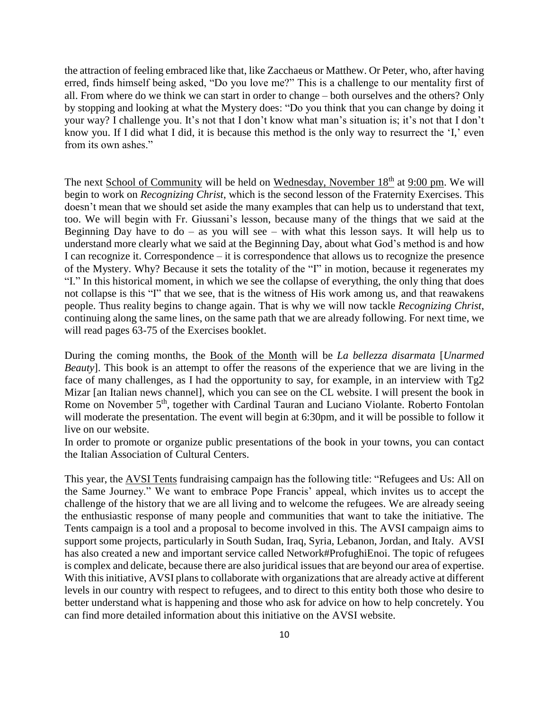the attraction of feeling embraced like that, like Zacchaeus or Matthew. Or Peter, who, after having erred, finds himself being asked, "Do you love me?" This is a challenge to our mentality first of all. From where do we think we can start in order to change – both ourselves and the others? Only by stopping and looking at what the Mystery does: "Do you think that you can change by doing it your way? I challenge you. It's not that I don't know what man's situation is; it's not that I don't know you. If I did what I did, it is because this method is the only way to resurrect the 'I,' even from its own ashes."

The next School of Community will be held on Wednesday, November  $18<sup>th</sup>$  at 9:00 pm. We will begin to work on *Recognizing Christ*, which is the second lesson of the Fraternity Exercises. This doesn't mean that we should set aside the many examples that can help us to understand that text, too. We will begin with Fr. Giussani's lesson, because many of the things that we said at the Beginning Day have to  $do - as$  you will see – with what this lesson says. It will help us to understand more clearly what we said at the Beginning Day, about what God's method is and how I can recognize it. Correspondence – it is correspondence that allows us to recognize the presence of the Mystery. Why? Because it sets the totality of the "I" in motion, because it regenerates my "I." In this historical moment, in which we see the collapse of everything, the only thing that does not collapse is this "I" that we see, that is the witness of His work among us, and that reawakens people. Thus reality begins to change again. That is why we will now tackle *Recognizing Christ*, continuing along the same lines, on the same path that we are already following. For next time, we will read pages 63-75 of the Exercises booklet.

During the coming months, the Book of the Month will be *La bellezza disarmata* [*Unarmed Beauty*]. This book is an attempt to offer the reasons of the experience that we are living in the face of many challenges, as I had the opportunity to say, for example, in an interview with  $Tg2$ Mizar [an Italian news channel], which you can see on the CL website. I will present the book in Rome on November 5<sup>th</sup>, together with Cardinal Tauran and Luciano Violante. Roberto Fontolan will moderate the presentation. The event will begin at 6:30pm, and it will be possible to follow it live on our website.

In order to promote or organize public presentations of the book in your towns, you can contact the Italian Association of Cultural Centers.

This year, the AVSI Tents fundraising campaign has the following title: "Refugees and Us: All on the Same Journey." We want to embrace Pope Francis' appeal, which invites us to accept the challenge of the history that we are all living and to welcome the refugees. We are already seeing the enthusiastic response of many people and communities that want to take the initiative. The Tents campaign is a tool and a proposal to become involved in this. The AVSI campaign aims to support some projects, particularly in South Sudan, Iraq, Syria, Lebanon, Jordan, and Italy. AVSI has also created a new and important service called Network#ProfughiEnoi. The topic of refugees is complex and delicate, because there are also juridical issues that are beyond our area of expertise. With this initiative, AVSI plans to collaborate with organizations that are already active at different levels in our country with respect to refugees, and to direct to this entity both those who desire to better understand what is happening and those who ask for advice on how to help concretely. You can find more detailed information about this initiative on the AVSI website.